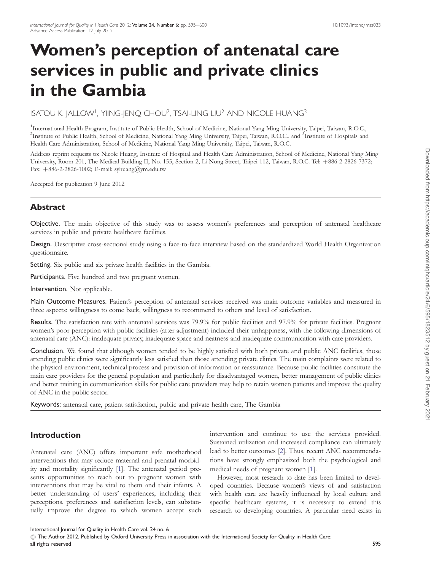# Women's perception of antenatal care services in public and private clinics in the Gambia

# ISATOU K. JALLOW<sup>I</sup>, YIING-JENQ CHOU<sup>2</sup>, TSAI-LING LIU<sup>2</sup> AND NICOLE HUANG<sup>3</sup>

<sup>1</sup>International Health Program, Institute of Public Health, School of Medicine, National Yang Ming University, Taipei, Taiwan, R.O.C., <sup>2</sup>Institute of Public Health, School of Medicine, National Yang Ming University, Taipei, Taiwan, R.O.C., and <sup>3</sup>Institute of Hospitals and Health Care Administration, School of Medicine, National Yang Ming University, Taipei, Taiwan, R.O.C.

Address reprint requests to: Nicole Huang, Institute of Hospital and Health Care Administration, School of Medicine, National Yang Ming University, Room 201, The Medical Building II, No. 155, Section 2, Li-Nong Street, Taipei 112, Taiwan, R.O.C. Tel: +886-2-2826-7372; Fax: +886-2-2826-1002; E-mail: syhuang@ym.edu.tw

Accepted for publication 9 June 2012

## Abstract

Objective. The main objective of this study was to assess women's preferences and perception of antenatal healthcare services in public and private healthcare facilities.

Design. Descriptive cross-sectional study using a face-to-face interview based on the standardized World Health Organization questionnaire.

Setting. Six public and six private health facilities in the Gambia.

Participants. Five hundred and two pregnant women.

Intervention. Not applicable.

Main Outcome Measures. Patient's perception of antenatal services received was main outcome variables and measured in three aspects: willingness to come back, willingness to recommend to others and level of satisfaction.

Results. The satisfaction rate with antenatal services was 79.9% for public facilities and 97.9% for private facilities. Pregnant women's poor perception with public facilities (after adjustment) included their unhappiness, with the following dimensions of antenatal care (ANC): inadequate privacy, inadequate space and neatness and inadequate communication with care providers.

Conclusion. We found that although women tended to be highly satisfied with both private and public ANC facilities, those attending public clinics were significantly less satisfied than those attending private clinics. The main complaints were related to the physical environment, technical process and provision of information or reassurance. Because public facilities constitute the main care providers for the general population and particularly for disadvantaged women, better management of public clinics and better training in communication skills for public care providers may help to retain women patients and improve the quality of ANC in the public sector.

Keywords: antenatal care, patient satisfaction, public and private health care, The Gambia

## Introduction

Antenatal care (ANC) offers important safe motherhood interventions that may reduce maternal and prenatal morbidity and mortality significantly [\[1](#page-5-0)]. The antenatal period presents opportunities to reach out to pregnant women with interventions that may be vital to them and their infants. A better understanding of users' experiences, including their perceptions, preferences and satisfaction levels, can substantially improve the degree to which women accept such intervention and continue to use the services provided. Sustained utilization and increased compliance can ultimately lead to better outcomes [[2\]](#page-5-0). Thus, recent ANC recommendations have strongly emphasized both the psychological and medical needs of pregnant women [[1](#page-5-0)].

However, most research to date has been limited to developed countries. Because women's views of and satisfaction with health care are heavily influenced by local culture and specific healthcare systems, it is necessary to extend this research to developing countries. A particular need exists in

International Journal for Quality in Health Care vol. 24 no. 6

 $\odot$  The Author 2012. Published by Oxford University Press in association with the International Society for Quality in Health Care; all rights reserved 595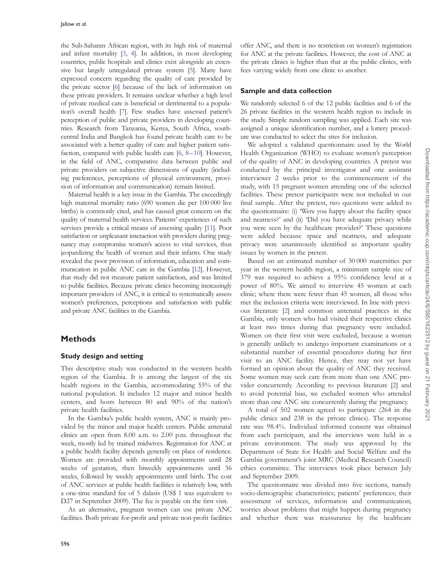the Sub-Saharan African region, with its high risk of maternal and infant mortality [\[3,](#page-5-0) [4](#page-5-0)]. In addition, in most developing countries, public hospitals and clinics exist alongside an extensive but largely unregulated private system [\[5\]](#page-5-0). Many have expressed concern regarding the quality of care provided by the private sector [\[6\]](#page-5-0) because of the lack of information on these private providers. It remains unclear whether a high level of private medical care is beneficial or detrimental to a population's overall health [\[7\]](#page-5-0). Few studies have assessed patient's perception of public and private providers in developing countries. Research from Tanzania, Kenya, South Africa, southcentral India and Bangkok has found private health care to be associated with a better quality of care and higher patient satisfaction, compared with public health care [\[6,](#page-5-0) [8](#page-5-0)–[10\]](#page-5-0). However, in the field of ANC, comparative data between public and private providers on subjective dimensions of quality (including preferences, perceptions of physical environment, provision of information and communication) remain limited.

Maternal health is a key issue in the Gambia. The exceedingly high maternal mortality ratio (690 women die per 100 000 live births) is commonly cited, and has caused great concern on the quality of maternal health services. Patients' experiences of such services provide a critical means of assessing quality [\[11](#page-5-0)]. Poor satisfaction or unpleasant interaction with providers during pregnancy may compromise women's access to vital services, thus jeopardizing the health of women and their infants. One study revealed the poor provision of information, education and communication in public ANC care in the Gambia [\[12\]](#page-5-0). However, that study did not measure patient satisfaction, and was limited to public facilities. Because private clinics becoming increasingly important providers of ANC, it is critical to systematically assess women's preferences, perceptions and satisfaction with public and private ANC facilities in the Gambia.

### Methods

#### Study design and setting

This descriptive study was conducted in the western health region of the Gambia. It is among the largest of the six health regions in the Gambia, accommodating 55% of the national population. It includes 12 major and minor health centers, and hosts between 80 and 90% of the nation's private health facilities.

In the Gambia's public health system, ANC is mainly provided by the minor and major health centers. Public antenatal clinics are open from 8.00 a.m. to 2.00 p.m. throughout the week, mostly led by trained midwives. Registration for ANC at a public health facility depends generally on place of residence. Women are provided with monthly appointments until 28 weeks of gestation, then biweekly appointments until 36 weeks, followed by weekly appointments until birth. The cost of ANC services at public health facilities is relatively low, with a one-time standard fee of 5 dalasis (US\$ 1 was equivalent to D27 in September 2009). The fee is payable on the first visit.

As an alternative, pregnant women can use private ANC facilities. Both private for-profit and private non-profit facilities offer ANC, and there is no restriction on women's registration for ANC at the private facilities. However, the cost of ANC at the private clinics is higher than that at the public clinics, with fees varying widely from one clinic to another.

#### Sample and data collection

We randomly selected 6 of the 12 public facilities and 6 of the 26 private facilities in the western health region to include in the study. Simple random sampling was applied. Each site was assigned a unique identification number, and a lottery procedure was conducted to select the sites for inclusion.

We adopted a validated questionnaire used by the World Health Organization (WHO) to evaluate women's perception of the quality of ANC in developing countries. A pretest was conducted by the principal investigator and one assistant interviewer 2 weeks prior to the commencement of the study, with 15 pregnant women attending one of the selected facilities. These pretest participants were not included in our final sample. After the pretest, two questions were added to the questionnaire: (i) 'Were you happy about the facility space and neatness?' and (ii) 'Did you have adequate privacy while you were seen by the healthcare provider?' These questions were added because space and neatness, and adequate privacy were unanimously identified as important quality issues by women in the pretest.

Based on an estimated number of 30 000 maternities per year in the western health region, a minimum sample size of 379 was required to achieve a 95% confidence level at a power of 80%. We aimed to interview 45 women at each clinic; where there were fewer than 45 women, all those who met the inclusion criteria were interviewed. In line with previous literature [\[2\]](#page-5-0) and common antenatal practices in the Gambia, only women who had visited their respective clinics at least two times during that pregnancy were included. Women on their first visit were excluded, because a woman is generally unlikely to undergo important examinations or a substantial number of essential procedures during her first visit to an ANC facility. Hence, they may not yet have formed an opinion about the quality of ANC they received. Some women may seek care from more than one ANC provider concurrently. According to previous literature [\[2](#page-5-0)] and to avoid potential bias, we excluded women who attended more than one ANC site concurrently during the pregnancy.

A total of 502 women agreed to participate (264 in the public clinics and 238 in the private clinics). The response rate was 98.4%. Individual informed consent was obtained from each participant, and the interviews were held in a private environment. The study was approved by the Department of State for Health and Social Welfare and the Gambia government's joint MRC (Medical Research Council) ethics committee. The interviews took place between July and September 2009.

The questionnaire was divided into five sections, namely socio-demographic characteristics; patients' preferences; their assessment of services, information and communication; worries about problems that might happen during pregnancy and whether there was reassurance by the healthcare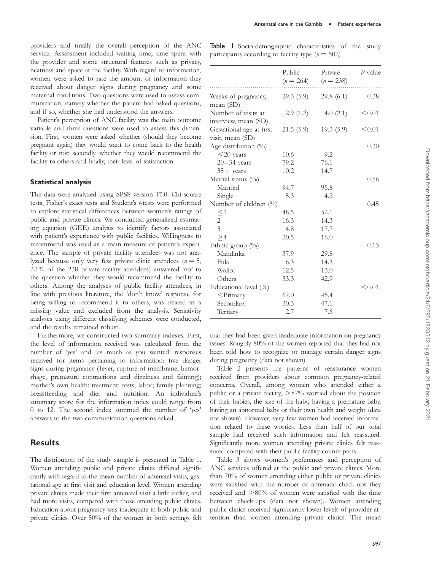providers and finally the overall perception of the ANC service. Assessment included waiting time; time spent with the provider and some structural features such as privacy, neatness and space at the facility. With regard to information, women were asked to rate the amount of information they received about danger signs during pregnancy and some maternal conditions. Two questions were used to assess communication, namely whether the patient had asked questions, and if so, whether she had understood the answers.

Patient's perception of ANC facility was the main outcome variable and three questions were used to assess this dimension. First, women were asked whether (should they become pregnant again) they would want to come back to the health facility or not; secondly, whether they would recommend the facility to others and finally, their level of satisfaction.

#### Statistical analysis

The data were analyzed using SPSS version 17.0. Chi-square tests, Fisher's exact tests and Student's t-tests were performed to explore statistical differences between women's ratings of public and private clinics. We conducted generalized estimating equation (GEE) analysis to identify factors associated with patient's experience with public facilities. Willingness to recommend was used as a main measure of patient's experience. The sample of private facility attendees was not analyzed because only very few private clinic attendees ( $n = 5$ , 2.1% of the 238 private facility attendees) answered 'no' to the question whether they would recommend the facility to others. Among the analyses of public facility attendees, in line with previous literature, the 'don't know' response for being willing to recommend it to others, was treated as a missing value and excluded from the analysis. Sensitivity analyses using different classifying schemes were conducted, and the results remained robust.

Furthermore, we constructed two summary indexes. First, the level of information received was calculated from the number of 'yes' and 'as much as you wanted' responses received for items pertaining to information: five danger signs during pregnancy (fever, rupture of membrane, hemorrhage, premature contractions and dizziness and fainting); mother's own health; treatment; tests; labor; family planning; breastfeeding and diet and nutrition. An individual's summary score for the information index could range from 0 to 12. The second index summed the number of 'yes' answers to the two communication questions asked.

#### **Results**

The distribution of the study sample is presented in Table 1. Women attending public and private clinics differed significantly with regard to the mean number of antenatal visits, gestational age at first visit and education level. Women attending private clinics made their first antenatal visit a little earlier, and had more visits, compared with those attending public clinics. Education about pregnancy was inadequate in both public and private clinics. Over 50% of the women in both settings felt

Table I Socio-demographic characteristics of the study participants according to facility type ( $n = 502$ )

|                                    | Public<br>$(n = 264)$ | Private<br>$(n = 238)$ | $P$ -value |
|------------------------------------|-----------------------|------------------------|------------|
| Weeks of pregnancy,<br>mean $(SD)$ | 29.3(5.9)             | 29.8(6.1)              | 0.38       |
| Number of visits at                | 2.9(1.2)              | 4.0(2.1)               | < 0.01     |
| interview, mean (SD)               |                       |                        |            |
| Gestational age at first           | 21.5(5.9)             | 19.3(5.9)              | < 0.01     |
| visit, mean (SD)                   |                       |                        |            |
| Age distribution (%)               |                       |                        | 0.30       |
| $<$ 20 years                       | 10.6                  | 9.2                    |            |
| $20 - 34$ years                    | 79.2                  | 76.1                   |            |
| $35 +$ years                       | 10.2                  | 14.7                   |            |
| Marital status (%)                 |                       |                        | 0.56       |
| Married                            | 94.7                  | 95.8                   |            |
| Single                             | 5.3                   | 4.2                    |            |
| Number of children (%)             |                       |                        | 0.45       |
| $\leq\!1$                          | 48.5                  | 52.1                   |            |
| $\frac{2}{3}$                      | 16.3                  | 14.3                   |            |
|                                    | 14.8                  | 17.7                   |            |
| >4                                 | 20.5                  | 16.0                   |            |
| Ethnic group (%)                   |                       |                        | 0.13       |
| Mandinka                           | 37.9                  | 29.8                   |            |
| Fula                               | 16.3                  | 14.3                   |            |
| Wollof                             | 12.5                  | 13.0                   |            |
| Others                             | 33.3                  | 42.9                   |            |
| Educational level (%)              |                       |                        | < 0.01     |
| $\leq$ Primary                     | 67.0                  | 45.4                   |            |
| Secondary                          | 30.3                  | 47.1                   |            |
| Tertiary                           | 2.7                   | 7.6                    |            |
|                                    |                       |                        |            |

that they had been given inadequate information on pregnancy issues. Roughly 80% of the women reported that they had not been told how to recognize or manage certain danger signs during pregnancy (data not shown).

Table [2](#page-3-0) presents the patterns of reassurance women received from providers about common pregnancy-related concerns. Overall, among women who attended either a public or a private facility,  $>87\%$  worried about the position of their babies, the size of the baby, having a premature baby, having an abnormal baby or their own health and weight (data not shown). However, very few women had received information related to these worries. Less than half of our total sample had received such information and felt reassured. Significantly more women attending private clinics felt reassured compared with their public-facility counterparts.

Table [3](#page-3-0) shows women's preferences and perception of ANC services offered at the public and private clinics. More than 70% of women attending either public or private clinics were satisfied with the number of antenatal check-ups they received and  $>80\%$  of women were satisfied with the time between check-ups (data not shown). Women attending public clinics received significantly lower levels of provider attention than women attending private clinics. The mean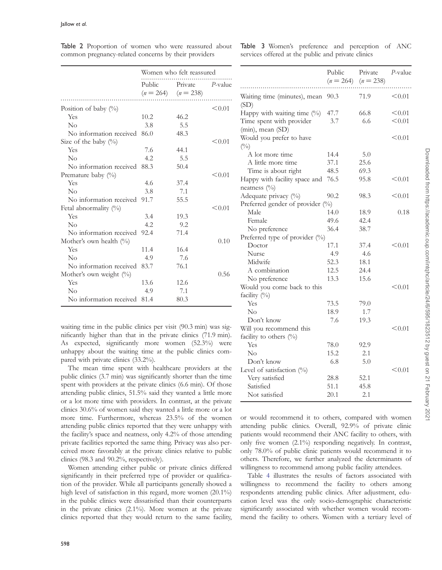|                            | Women who felt reassured |                                    |         |
|----------------------------|--------------------------|------------------------------------|---------|
|                            | Public                   | Private<br>$(n = 264)$ $(n = 238)$ | P-value |
| Position of baby $(\%)$    |                          |                                    | < 0.01  |
| Yes                        | 10.2                     | 46.2                               |         |
| $\overline{N}_{O}$         | 3.8                      | 5.5                                |         |
| No information received    | 86.0                     | 48.3                               |         |
| Size of the baby $(\%)$    |                          |                                    | < 0.01  |
| Yes                        | 7.6                      | 44.1                               |         |
| $\rm No$                   | 4.2.                     | 5.5                                |         |
| No information received    | 88.3                     | 50.4                               |         |
| Premature baby $(\%$       |                          |                                    | < 0.01  |
| Yes                        | 4.6                      | 37.4                               |         |
| $\rm No$                   | 3.8                      | 7.1                                |         |
| No information received    | 91.7                     | 55.5                               |         |
| Fetal abnormality (%)      |                          |                                    | < 0.01  |
| Yes                        | 3.4                      | 19.3                               |         |
| $\rm No$                   | 4.2.                     | 9.2                                |         |
| No information received    | 92.4                     | 71.4                               |         |
| Mother's own health $(\%)$ |                          |                                    | 0.10    |
| Yes                        | 11.4                     | 16.4                               |         |
| $\rm No$                   | 4.9                      | 7.6                                |         |
| No information received    | 83.7                     | 76.1                               |         |
| Mother's own weight $(\%)$ |                          |                                    | 0.56    |
| Yes                        | 13.6                     | 12.6                               |         |
| $\rm No$                   | 4.9                      | 7.1                                |         |
| No information received    | 81.4                     | 80.3                               |         |

<span id="page-3-0"></span>Table 2 Proportion of women who were reassured about common pregnancy-related concerns by their providers

Table 3 Women's preference and perception of ANC services offered at the public and private clinics

|                                      | Public<br>$(n = 264)$ | Private<br>$(n = 238)$ | $P$ -value |
|--------------------------------------|-----------------------|------------------------|------------|
| Waiting time (minutes), mean         | 90.3                  | 71.9                   | < 0.01     |
| (SD)                                 |                       |                        |            |
| Happy with waiting time $(^{0}_{0})$ | 47.7                  | 66.8                   | < 0.01     |
| Time spent with provider             | 3.7                   | 6.6                    | < 0.01     |
| (min), mean (SD)                     |                       |                        |            |
| Would you prefer to have             |                       |                        | < 0.01     |
| $(\%)$                               |                       |                        |            |
| A lot more time                      | 14.4                  | 5.0                    |            |
| A little more time                   | 37.1                  | 25.6                   |            |
| Time is about right                  | 48.5                  | 69.3                   |            |
| Happy with facility space and        | 76.5                  | 95.8                   | < 0.01     |
| neatness $(^{0}_{0})$                |                       |                        |            |
| Adequate privacy (%)                 | 90.2                  | 98.3                   | < 0.01     |
| Preferred gender of provider (%)     |                       |                        |            |
| Male                                 | 14.0                  | 18.9                   | 0.18       |
| Female                               | 49.6                  | 42.4                   |            |
| No preference                        | 36.4                  | 38.7                   |            |
| Preferred type of provider (%)       |                       |                        |            |
| Doctor                               | 17.1                  | 37.4                   | < 0.01     |
| Nurse                                | 4.9                   | 4.6                    |            |
| Midwife                              | 52.3                  | 18.1                   |            |
| A combination                        | 12.5                  | 24.4                   |            |
| No preference                        | 13.3                  | 15.6                   |            |
| Would you come back to this          |                       |                        | < 0.01     |
| facility (%)                         |                       |                        |            |
| Yes                                  | 73.5                  | 79.0                   |            |
| No                                   | 18.9                  | 1.7                    |            |
| Don't know                           | 7.6                   | 19.3                   |            |
| Will you recommend this              |                       |                        | < 0.01     |
| facility to others $(\%)$            |                       |                        |            |
| Yes                                  | 78.0                  | 92.9                   |            |
| $\rm No$                             | 15.2                  | 2.1                    |            |
| Don't know                           | 6.8                   | 5.0                    |            |
| Level of satisfaction (%)            |                       |                        | < 0.01     |
| Very satisfied                       | 28.8                  | 52.1                   |            |
| Satisfied                            | 51.1                  | 45.8                   |            |
| Not satisfied                        | 20.1                  | 2.1                    |            |

waiting time in the public clinics per visit (90.3 min) was significantly higher than that in the private clinics (71.9 min). As expected, significantly more women (52.3%) were unhappy about the waiting time at the public clinics compared with private clinics (33.2%).

The mean time spent with healthcare providers at the public clinics (3.7 min) was significantly shorter than the time spent with providers at the private clinics (6.6 min). Of those attending public clinics, 51.5% said they wanted a little more or a lot more time with providers. In contrast, at the private clinics 30.6% of women said they wanted a little more or a lot more time. Furthermore, whereas 23.5% of the women attending public clinics reported that they were unhappy with the facility's space and neatness, only 4.2% of those attending private facilities reported the same thing. Privacy was also perceived more favorably at the private clinics relative to public clinics (98.3 and 90.2%, respectively).

Women attending either public or private clinics differed significantly in their preferred type of provider or qualification of the provider. While all participants generally showed a high level of satisfaction in this regard, more women (20.1%) in the public clinics were dissatisfied than their counterparts in the private clinics  $(2.1\%)$ . More women at the private clinics reported that they would return to the same facility, or would recommend it to others, compared with women attending public clinics. Overall, 92.9% of private clinic patients would recommend their ANC facility to others, with only five women (2.1%) responding negatively. In contrast, only 78.0% of public clinic patients would recommend it to others. Therefore, we further analyzed the determinants of willingness to recommend among public facility attendees.

Table [4](#page-4-0) illustrates the results of factors associated with willingness to recommend the facility to others among respondents attending public clinics. After adjustment, education level was the only socio-demographic characteristic significantly associated with whether women would recommend the facility to others. Women with a tertiary level of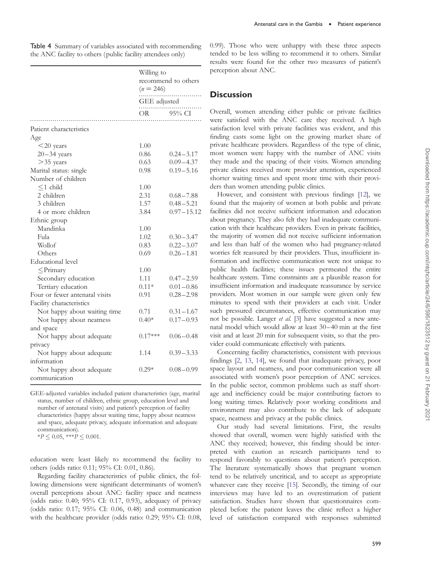<span id="page-4-0"></span>

| Table 4 Summary of variables associated with recommending   |  |
|-------------------------------------------------------------|--|
| the ANC facility to others (public facility attendees only) |  |

|                                | Willing to<br>recommend to others<br>$(n = 246)$ |                |  |
|--------------------------------|--------------------------------------------------|----------------|--|
|                                |                                                  | GEE adjusted   |  |
|                                |                                                  | OR 95% CI      |  |
| Patient characteristics        |                                                  |                |  |
| Age                            |                                                  |                |  |
| $<$ 20 years                   | 1.00                                             |                |  |
| $20 - 34$ years                | 0.86                                             | $0.24 - 3.17$  |  |
| $>35$ years                    | 0.63                                             | $0.09 - 4.37$  |  |
| Marital status: single         | 0.98                                             | $0.19 - 5.16$  |  |
| Number of children             |                                                  |                |  |
| $\leq$ 1 child                 | 1.00                                             |                |  |
| 2 children                     | 2.31                                             | $0.68 - 7.88$  |  |
| 3 children                     | 1.57                                             | $0.48 - 5.21$  |  |
| 4 or more children             | 3.84                                             | $0.97 - 15.12$ |  |
| Ethnic group                   |                                                  |                |  |
| Mandinka                       | 1.00                                             |                |  |
| Fula                           | 1.02                                             | $0.30 - 3.47$  |  |
| Wollof                         | 0.83                                             | $0.22 - 3.07$  |  |
| Others                         | 0.69                                             | $0.26 - 1.81$  |  |
| Educational level              |                                                  |                |  |
| $\leq$ Primary                 | 1.00                                             |                |  |
| Secondary education            | 1.11                                             | $0.47 - 2.59$  |  |
| Tertiary education             | $0.11*$                                          | $0.01 - 0.86$  |  |
| Four or fewer antenatal visits | 0.91                                             | $0.28 - 2.98$  |  |
| Facility characteristics       |                                                  |                |  |
| Not happy about waiting time   | 0.71                                             | $0.31 - 1.67$  |  |
| Not happy about neatness       | $0.40*$                                          | $0.17 - 0.93$  |  |
| and space                      |                                                  |                |  |
| Not happy about adequate       | $0.17***$                                        | $0.06 - 0.48$  |  |
| privacy                        |                                                  |                |  |
| Not happy about adequate       | 1.14                                             | $0.39 - 3.33$  |  |
| information                    |                                                  |                |  |
| Not happy about adequate       | $0.29*$                                          | $0.08 - 0.99$  |  |
| communication                  |                                                  |                |  |

GEE-adjusted variables included patient characteristics (age, marital status, number of children, ethnic group, education level and number of antenatal visits) and patient's perception of facility characteristics (happy about waiting time, happy about neatness and space, adequate privacy, adequate information and adequate communication).  $*P \leq 0.05, **P \leq 0.001.$ 

education were least likely to recommend the facility to others (odds ratio: 0.11; 95% CI: 0.01, 0.86).

Regarding facility characteristics of public clinics, the following dimensions were significant determinants of women's overall perceptions about ANC: facility space and neatness (odds ratio: 0.40; 95% CI: 0.17, 0.93), adequacy of privacy (odds ratio: 0.17; 95% CI: 0.06, 0.48) and communication with the healthcare provider (odds ratio: 0.29; 95% CI: 0.08, 0.99). Those who were unhappy with these three aspects tended to be less willing to recommend it to others. Similar results were found for the other two measures of patient's perception about ANC.

#### **Discussion**

Overall, women attending either public or private facilities were satisfied with the ANC care they received. A high satisfaction level with private facilities was evident, and this finding casts some light on the growing market share of private healthcare providers. Regardless of the type of clinic, most women were happy with the number of ANC visits they made and the spacing of their visits. Women attending private clinics received more provider attention, experienced shorter waiting times and spent more time with their providers than women attending public clinics.

However, and consistent with previous findings [[12\]](#page-5-0), we found that the majority of women at both public and private facilities did not receive sufficient information and education about pregnancy. They also felt they had inadequate communication with their healthcare providers. Even in private facilities, the majority of women did not receive sufficient information and less than half of the women who had pregnancy-related worries felt reassured by their providers. Thus, insufficient information and ineffective communication were not unique to public health facilities; these issues permeated the entire healthcare system. Time constraints are a plausible reason for insufficient information and inadequate reassurance by service providers. Most women in our sample were given only few minutes to spend with their providers at each visit. Under such pressured circumstances, effective communication may not be possible. Langer et al. [\[3\]](#page-5-0) have suggested a new antenatal model which would allow at least 30–40 min at the first visit and at least 20 min for subsequent visits, so that the provider could communicate effectively with patients.

Concerning facility characteristics, consistent with previous findings [\[2,](#page-5-0) [13](#page-5-0), [14\]](#page-5-0), we found that inadequate privacy, poor space layout and neatness, and poor communication were all associated with women's poor perception of ANC services. In the public sector, common problems such as staff shortage and inefficiency could be major contributing factors to long waiting times. Relatively poor working conditions and environment may also contribute to the lack of adequate space, neatness and privacy at the public clinics.

Our study had several limitations. First, the results showed that overall, women were highly satisfied with the ANC they received; however, this finding should be interpreted with caution as research participants tend to respond favorably to questions about patient's perception. The literature systematically shows that pregnant women tend to be relatively uncritical, and to accept as appropriate whatever care they receive [[15\]](#page-5-0). Secondly, the timing of our interviews may have led to an overestimation of patient satisfaction. Studies have shown that questionnaires completed before the patient leaves the clinic reflect a higher level of satisfaction compared with responses submitted